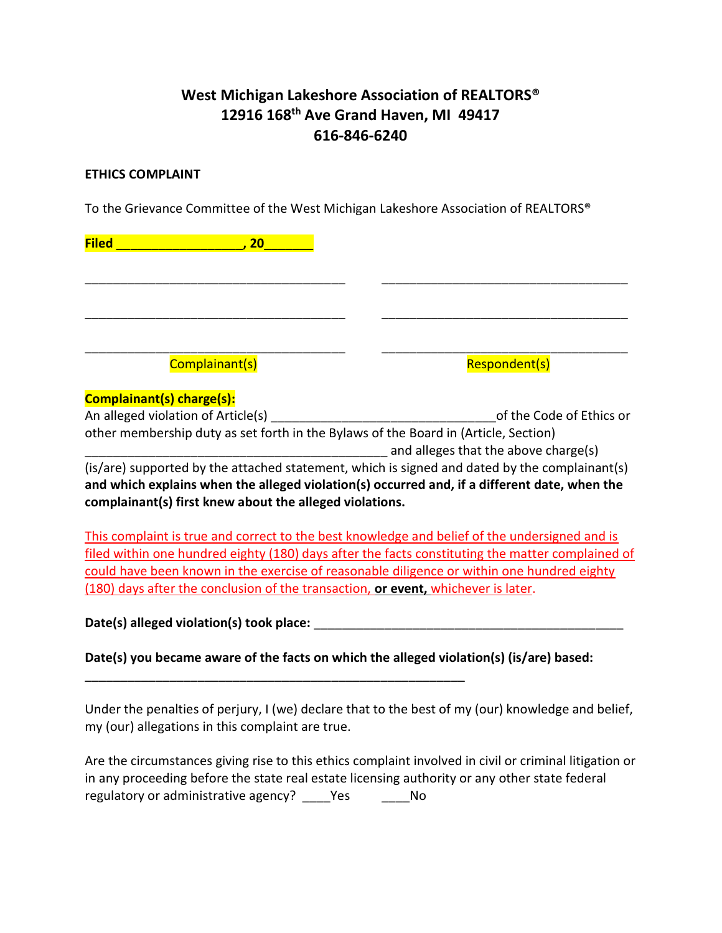## West Michigan Lakeshore Association of REALTORS® 12916 168th Ave Grand Haven, MI 49417 616-846-6240

## ETHICS COMPLAINT

To the Grievance Committee of the West Michigan Lakeshore Association of REALTORS®

| <b>Filed</b> | 20                        |  |               |
|--------------|---------------------------|--|---------------|
|              |                           |  |               |
|              |                           |  |               |
|              |                           |  |               |
|              |                           |  |               |
|              | Complainant(s)            |  | Respondent(s) |
|              | Complainant(s) charge(s): |  |               |

| An alleged violation of Article(s)                                                            | of the Code of Ethics or             |  |  |  |  |
|-----------------------------------------------------------------------------------------------|--------------------------------------|--|--|--|--|
| other membership duty as set forth in the Bylaws of the Board in (Article, Section)           |                                      |  |  |  |  |
|                                                                                               | and alleges that the above charge(s) |  |  |  |  |
| (is/are) supported by the attached statement, which is signed and dated by the complainant(s) |                                      |  |  |  |  |

and which explains when the alleged violation(s) occurred and, if a different date, when the complainant(s) first knew about the alleged violations.

This complaint is true and correct to the best knowledge and belief of the undersigned and is filed within one hundred eighty (180) days after the facts constituting the matter complained of could have been known in the exercise of reasonable diligence or within one hundred eighty (180) days after the conclusion of the transaction, or event, whichever is later.

Date(s) alleged violation(s) took place:  $\Box$ 

Date(s) you became aware of the facts on which the alleged violation(s) (is/are) based:

\_\_\_\_\_\_\_\_\_\_\_\_\_\_\_\_\_\_\_\_\_\_\_\_\_\_\_\_\_\_\_\_\_\_\_\_\_\_\_\_\_\_\_\_\_\_\_\_\_\_\_\_\_\_

Under the penalties of perjury, I (we) declare that to the best of my (our) knowledge and belief, my (our) allegations in this complaint are true.

| Are the circumstances giving rise to this ethics complaint involved in civil or criminal litigation or |            |     |  |
|--------------------------------------------------------------------------------------------------------|------------|-----|--|
| in any proceeding before the state real estate licensing authority or any other state federal          |            |     |  |
| regulatory or administrative agency?                                                                   | <b>Yes</b> | No. |  |